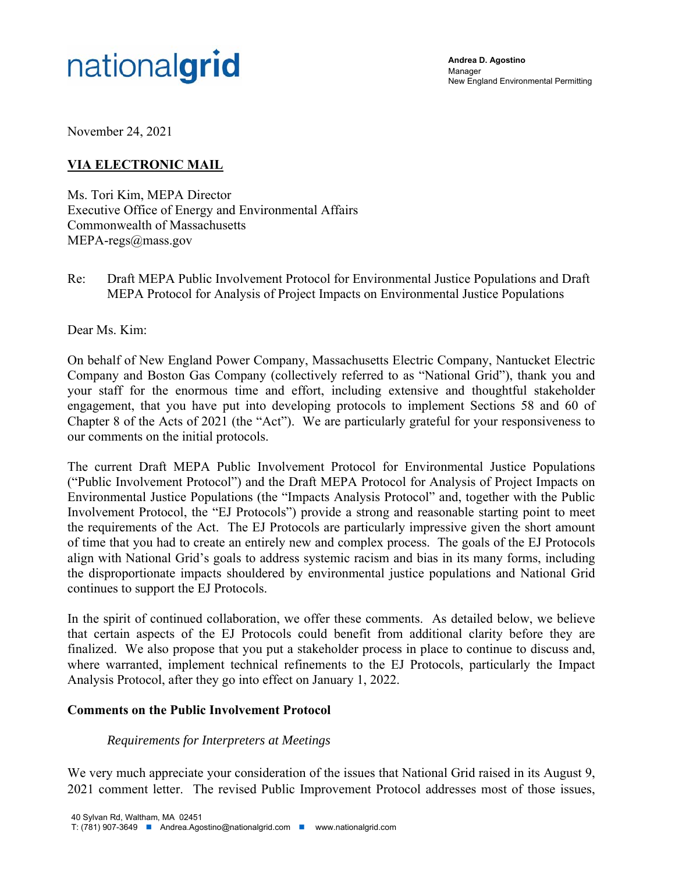

**Andrea D. Agostino**  Manager New England Environmental Permitting

November 24, 2021

## **VIA ELECTRONIC MAIL**

Ms. Tori Kim, MEPA Director Executive Office of Energy and Environmental Affairs Commonwealth of Massachusetts MEPA-regs@mass.gov

Re: Draft MEPA Public Involvement Protocol for Environmental Justice Populations and Draft MEPA Protocol for Analysis of Project Impacts on Environmental Justice Populations

Dear Ms. Kim:

On behalf of New England Power Company, Massachusetts Electric Company, Nantucket Electric Company and Boston Gas Company (collectively referred to as "National Grid"), thank you and your staff for the enormous time and effort, including extensive and thoughtful stakeholder engagement, that you have put into developing protocols to implement Sections 58 and 60 of Chapter 8 of the Acts of 2021 (the "Act"). We are particularly grateful for your responsiveness to our comments on the initial protocols.

The current Draft MEPA Public Involvement Protocol for Environmental Justice Populations ("Public Involvement Protocol") and the Draft MEPA Protocol for Analysis of Project Impacts on Environmental Justice Populations (the "Impacts Analysis Protocol" and, together with the Public Involvement Protocol, the "EJ Protocols") provide a strong and reasonable starting point to meet the requirements of the Act. The EJ Protocols are particularly impressive given the short amount of time that you had to create an entirely new and complex process. The goals of the EJ Protocols align with National Grid's goals to address systemic racism and bias in its many forms, including the disproportionate impacts shouldered by environmental justice populations and National Grid continues to support the EJ Protocols.

In the spirit of continued collaboration, we offer these comments. As detailed below, we believe that certain aspects of the EJ Protocols could benefit from additional clarity before they are finalized. We also propose that you put a stakeholder process in place to continue to discuss and, where warranted, implement technical refinements to the EJ Protocols, particularly the Impact Analysis Protocol, after they go into effect on January 1, 2022.

#### **Comments on the Public Involvement Protocol**

#### *Requirements for Interpreters at Meetings*

We very much appreciate your consideration of the issues that National Grid raised in its August 9, 2021 comment letter. The revised Public Improvement Protocol addresses most of those issues,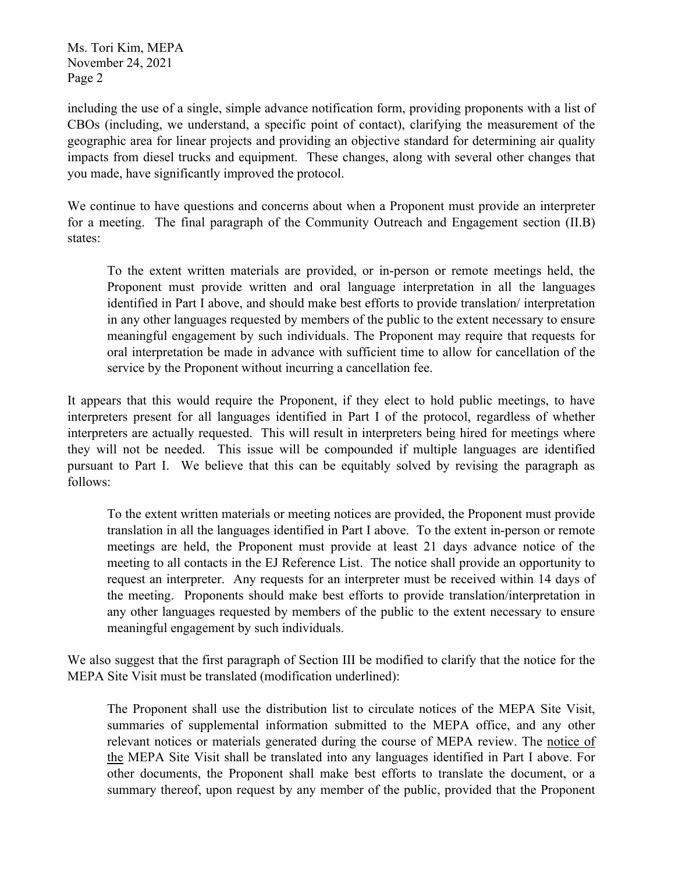Ms. Tori Kim, MEPA November 24, 2021 Page 2

including the use of a single, simple advance notification form, providing proponents with a list of CBOs (including, we understand, a specific point of contact), clarifying the measurement of the geographic area for linear projects and providing an objective standard for determining air quality impacts from diesel trucks and equipment. These changes, along with several other changes that you made, have significantly improved the protocol.

We continue to have questions and concerns about when a Proponent must provide an interpreter for a meeting. The final paragraph of the Community Outreach and Engagement section (II.B) states:

To the extent written materials are provided, or in-person or remote meetings held, the Proponent must provide written and oral language interpretation in all the languages identified in Part I above, and should make best efforts to provide translation/ interpretation in any other languages requested by members of the public to the extent necessary to ensure meaningful engagement by such individuals. The Proponent may require that requests for oral interpretation be made in advance with sufficient time to allow for cancellation of the service by the Proponent without incurring a cancellation fee.

It appears that this would require the Proponent, if they elect to hold public meetings, to have interpreters present for all languages identified in Part I of the protocol, regardless of whether interpreters are actually requested. This will result in interpreters being hired for meetings where they will not be needed. This issue will be compounded if multiple languages are identified pursuant to Part I. We believe that this can be equitably solved by revising the paragraph as follows:

To the extent written materials or meeting notices are provided, the Proponent must provide translation in all the languages identified in Part I above. To the extent in-person or remote meetings are held, the Proponent must provide at least 21 days advance notice of the meeting to all contacts in the EJ Reference List. The notice shall provide an opportunity to request an interpreter. Any requests for an interpreter must be received within 14 days of the meeting. Proponents should make best efforts to provide translation/interpretation in any other languages requested by members of the public to the extent necessary to ensure meaningful engagement by such individuals.

We also suggest that the first paragraph of Section III be modified to clarify that the notice for the MEPA Site Visit must be translated (modification underlined):

The Proponent shall use the distribution list to circulate notices of the MEPA Site Visit, summaries of supplemental information submitted to the MEPA office, and any other relevant notices or materials generated during the course of MEPA review. The notice of the MEPA Site Visit shall be translated into any languages identified in Part I above. For other documents, the Proponent shall make best efforts to translate the document, or a summary thereof, upon request by any member of the public, provided that the Proponent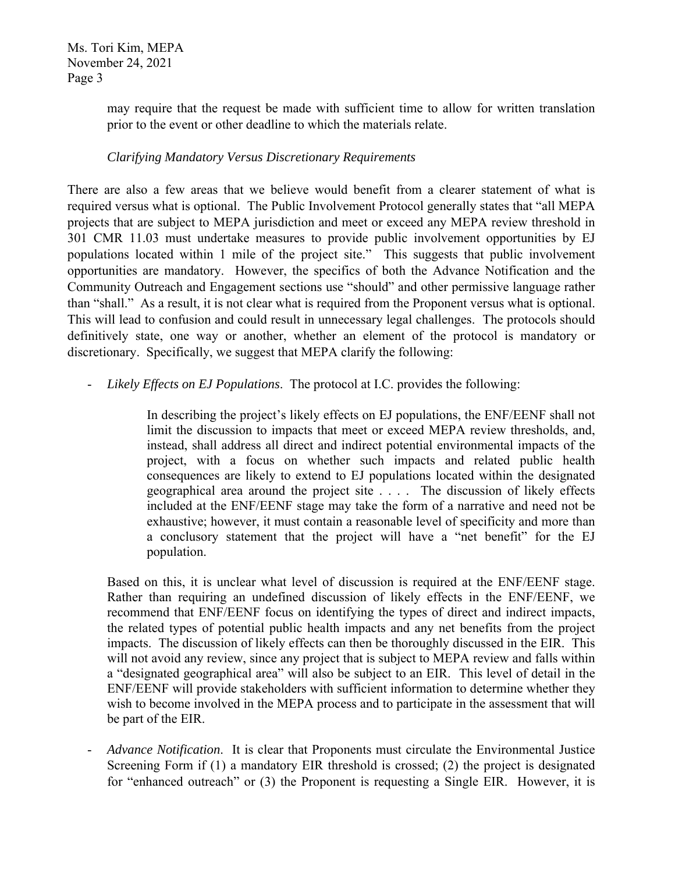Ms. Tori Kim, MEPA November 24, 2021 Page 3

> may require that the request be made with sufficient time to allow for written translation prior to the event or other deadline to which the materials relate.

## *Clarifying Mandatory Versus Discretionary Requirements*

There are also a few areas that we believe would benefit from a clearer statement of what is required versus what is optional. The Public Involvement Protocol generally states that "all MEPA projects that are subject to MEPA jurisdiction and meet or exceed any MEPA review threshold in 301 CMR 11.03 must undertake measures to provide public involvement opportunities by EJ populations located within 1 mile of the project site." This suggests that public involvement opportunities are mandatory. However, the specifics of both the Advance Notification and the Community Outreach and Engagement sections use "should" and other permissive language rather than "shall." As a result, it is not clear what is required from the Proponent versus what is optional. This will lead to confusion and could result in unnecessary legal challenges. The protocols should definitively state, one way or another, whether an element of the protocol is mandatory or discretionary. Specifically, we suggest that MEPA clarify the following:

# - *Likely Effects on EJ Populations*. The protocol at I.C. provides the following:

In describing the project's likely effects on EJ populations, the ENF/EENF shall not limit the discussion to impacts that meet or exceed MEPA review thresholds, and, instead, shall address all direct and indirect potential environmental impacts of the project, with a focus on whether such impacts and related public health consequences are likely to extend to EJ populations located within the designated geographical area around the project site . . . . The discussion of likely effects included at the ENF/EENF stage may take the form of a narrative and need not be exhaustive; however, it must contain a reasonable level of specificity and more than a conclusory statement that the project will have a "net benefit" for the EJ population.

Based on this, it is unclear what level of discussion is required at the ENF/EENF stage. Rather than requiring an undefined discussion of likely effects in the ENF/EENF, we recommend that ENF/EENF focus on identifying the types of direct and indirect impacts, the related types of potential public health impacts and any net benefits from the project impacts. The discussion of likely effects can then be thoroughly discussed in the EIR. This will not avoid any review, since any project that is subject to MEPA review and falls within a "designated geographical area" will also be subject to an EIR. This level of detail in the ENF/EENF will provide stakeholders with sufficient information to determine whether they wish to become involved in the MEPA process and to participate in the assessment that will be part of the EIR.

- *Advance Notification*. It is clear that Proponents must circulate the Environmental Justice Screening Form if (1) a mandatory EIR threshold is crossed; (2) the project is designated for "enhanced outreach" or (3) the Proponent is requesting a Single EIR. However, it is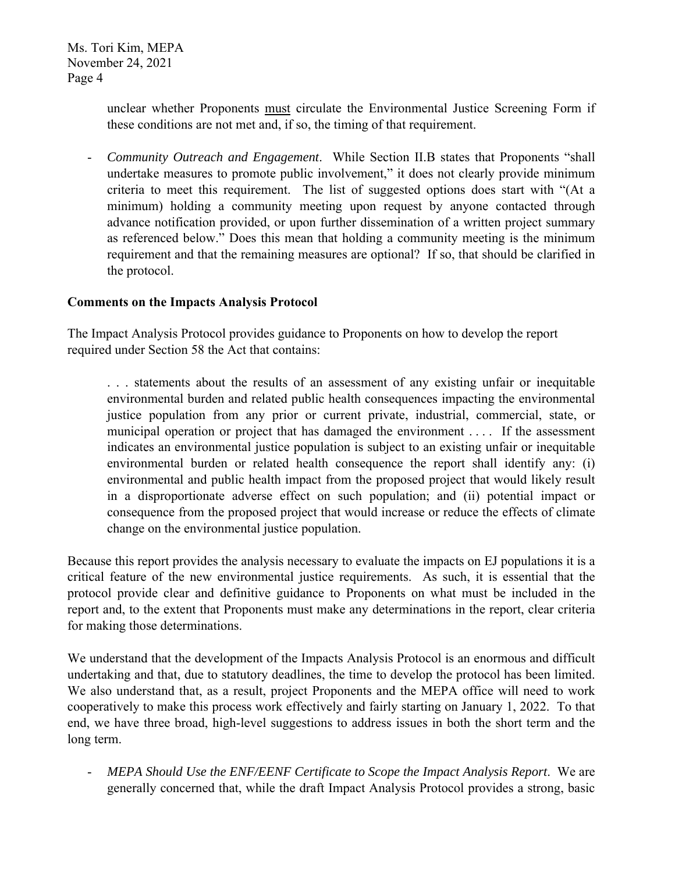unclear whether Proponents must circulate the Environmental Justice Screening Form if these conditions are not met and, if so, the timing of that requirement.

- *Community Outreach and Engagement*. While Section II.B states that Proponents "shall undertake measures to promote public involvement," it does not clearly provide minimum criteria to meet this requirement. The list of suggested options does start with "(At a minimum) holding a community meeting upon request by anyone contacted through advance notification provided, or upon further dissemination of a written project summary as referenced below." Does this mean that holding a community meeting is the minimum requirement and that the remaining measures are optional? If so, that should be clarified in the protocol.

#### **Comments on the Impacts Analysis Protocol**

The Impact Analysis Protocol provides guidance to Proponents on how to develop the report required under Section 58 the Act that contains:

. . . statements about the results of an assessment of any existing unfair or inequitable environmental burden and related public health consequences impacting the environmental justice population from any prior or current private, industrial, commercial, state, or municipal operation or project that has damaged the environment . . . . If the assessment indicates an environmental justice population is subject to an existing unfair or inequitable environmental burden or related health consequence the report shall identify any: (i) environmental and public health impact from the proposed project that would likely result in a disproportionate adverse effect on such population; and (ii) potential impact or consequence from the proposed project that would increase or reduce the effects of climate change on the environmental justice population.

Because this report provides the analysis necessary to evaluate the impacts on EJ populations it is a critical feature of the new environmental justice requirements. As such, it is essential that the protocol provide clear and definitive guidance to Proponents on what must be included in the report and, to the extent that Proponents must make any determinations in the report, clear criteria for making those determinations.

We understand that the development of the Impacts Analysis Protocol is an enormous and difficult undertaking and that, due to statutory deadlines, the time to develop the protocol has been limited. We also understand that, as a result, project Proponents and the MEPA office will need to work cooperatively to make this process work effectively and fairly starting on January 1, 2022. To that end, we have three broad, high-level suggestions to address issues in both the short term and the long term.

- *MEPA Should Use the ENF/EENF Certificate to Scope the Impact Analysis Report*. We are generally concerned that, while the draft Impact Analysis Protocol provides a strong, basic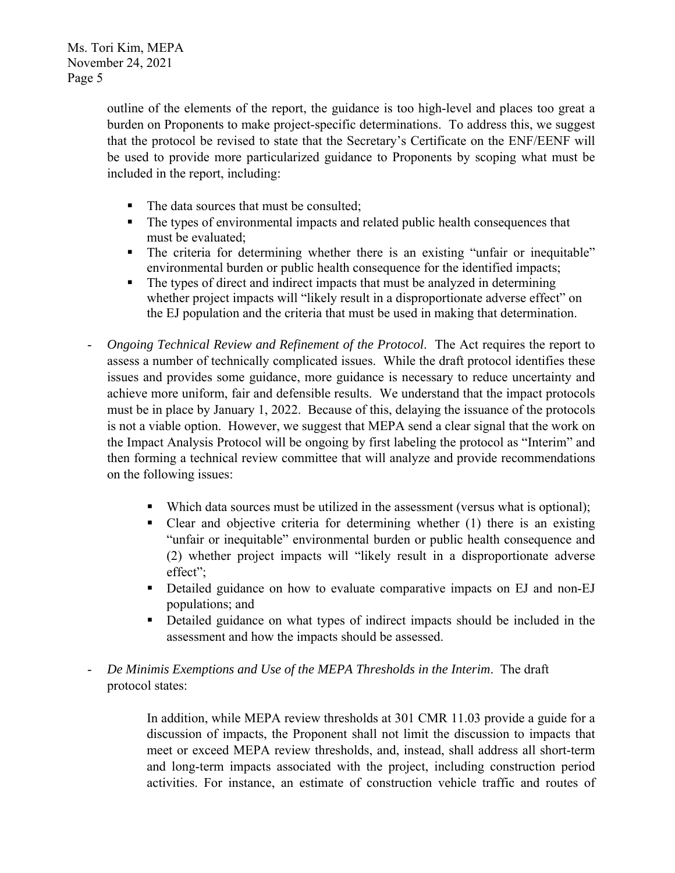outline of the elements of the report, the guidance is too high-level and places too great a burden on Proponents to make project-specific determinations. To address this, we suggest that the protocol be revised to state that the Secretary's Certificate on the ENF/EENF will be used to provide more particularized guidance to Proponents by scoping what must be included in the report, including:

- The data sources that must be consulted;
- The types of environmental impacts and related public health consequences that must be evaluated;
- The criteria for determining whether there is an existing "unfair or inequitable" environmental burden or public health consequence for the identified impacts;
- The types of direct and indirect impacts that must be analyzed in determining whether project impacts will "likely result in a disproportionate adverse effect" on the EJ population and the criteria that must be used in making that determination.
- *Ongoing Technical Review and Refinement of the Protocol*. The Act requires the report to assess a number of technically complicated issues. While the draft protocol identifies these issues and provides some guidance, more guidance is necessary to reduce uncertainty and achieve more uniform, fair and defensible results. We understand that the impact protocols must be in place by January 1, 2022. Because of this, delaying the issuance of the protocols is not a viable option. However, we suggest that MEPA send a clear signal that the work on the Impact Analysis Protocol will be ongoing by first labeling the protocol as "Interim" and then forming a technical review committee that will analyze and provide recommendations on the following issues:
	- Which data sources must be utilized in the assessment (versus what is optional);
	- Clear and objective criteria for determining whether (1) there is an existing "unfair or inequitable" environmental burden or public health consequence and (2) whether project impacts will "likely result in a disproportionate adverse effect";
	- Detailed guidance on how to evaluate comparative impacts on EJ and non-EJ populations; and
	- Detailed guidance on what types of indirect impacts should be included in the assessment and how the impacts should be assessed.
- *De Minimis Exemptions and Use of the MEPA Thresholds in the Interim*. The draft protocol states:

In addition, while MEPA review thresholds at 301 CMR 11.03 provide a guide for a discussion of impacts, the Proponent shall not limit the discussion to impacts that meet or exceed MEPA review thresholds, and, instead, shall address all short-term and long-term impacts associated with the project, including construction period activities. For instance, an estimate of construction vehicle traffic and routes of